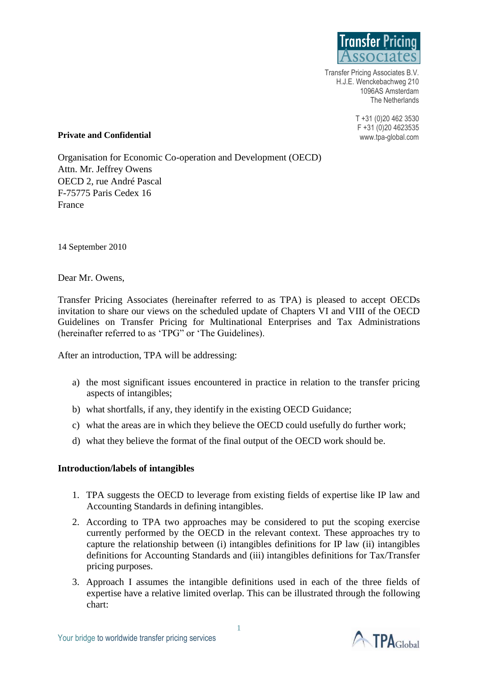

Transfer Pricing Associates B.V. H.J.E. Wenckebachweg 210 1096AS Amsterdam The Netherlands

> T +31 (0)20 462 3530 F +31 (0)20 4623535 www.tpa-global.com

#### **Private and Confidential**

Organisation for Economic Co-operation and Development (OECD) Attn. Mr. Jeffrey Owens OECD 2, rue André Pascal F-75775 Paris Cedex 16 France

14 September 2010

Dear Mr. Owens,

Transfer Pricing Associates (hereinafter referred to as TPA) is pleased to accept OECDs invitation to share our views on the scheduled update of Chapters VI and VIII of the OECD Guidelines on Transfer Pricing for Multinational Enterprises and Tax Administrations (hereinafter referred to as 'TPG" or 'The Guidelines).

After an introduction, TPA will be addressing:

- a) the most significant issues encountered in practice in relation to the transfer pricing aspects of intangibles;
- b) what shortfalls, if any, they identify in the existing OECD Guidance;
- c) what the areas are in which they believe the OECD could usefully do further work;
- d) what they believe the format of the final output of the OECD work should be.

## **Introduction/labels of intangibles**

- 1. TPA suggests the OECD to leverage from existing fields of expertise like IP law and Accounting Standards in defining intangibles.
- 2. According to TPA two approaches may be considered to put the scoping exercise currently performed by the OECD in the relevant context. These approaches try to capture the relationship between (i) intangibles definitions for IP law (ii) intangibles definitions for Accounting Standards and (iii) intangibles definitions for Tax/Transfer pricing purposes.
- 3. Approach I assumes the intangible definitions used in each of the three fields of expertise have a relative limited overlap. This can be illustrated through the following chart: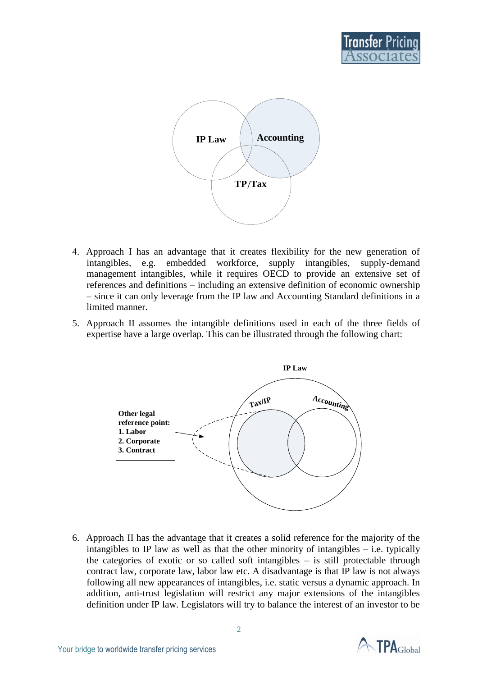



- 4. Approach I has an advantage that it creates flexibility for the new generation of intangibles, e.g. embedded workforce, supply intangibles, supply-demand management intangibles, while it requires OECD to provide an extensive set of references and definitions – including an extensive definition of economic ownership – since it can only leverage from the IP law and Accounting Standard definitions in a limited manner.
- 5. Approach II assumes the intangible definitions used in each of the three fields of expertise have a large overlap. This can be illustrated through the following chart:



6. Approach II has the advantage that it creates a solid reference for the majority of the intangibles to IP law as well as that the other minority of intangibles  $-$  i.e. typically the categories of exotic or so called soft intangibles – is still protectable through contract law, corporate law, labor law etc. A disadvantage is that IP law is not always following all new appearances of intangibles, i.e. static versus a dynamic approach. In addition, anti-trust legislation will restrict any major extensions of the intangibles definition under IP law. Legislators will try to balance the interest of an investor to be

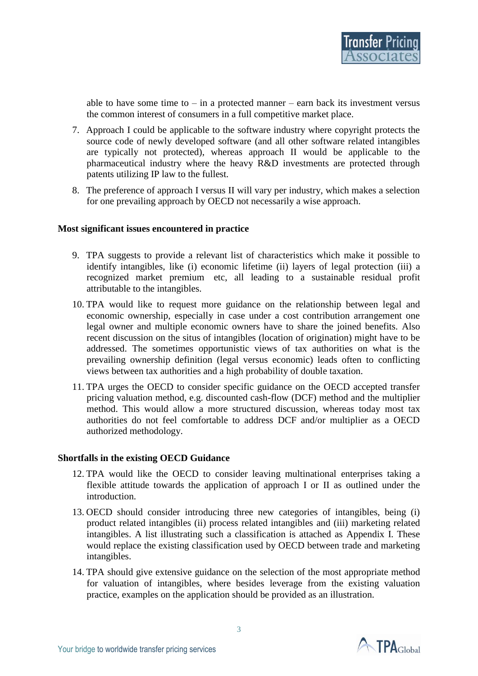able to have some time to  $-$  in a protected manner  $-$  earn back its investment versus the common interest of consumers in a full competitive market place.

- 7. Approach I could be applicable to the software industry where copyright protects the source code of newly developed software (and all other software related intangibles are typically not protected), whereas approach II would be applicable to the pharmaceutical industry where the heavy R&D investments are protected through patents utilizing IP law to the fullest.
- 8. The preference of approach I versus II will vary per industry, which makes a selection for one prevailing approach by OECD not necessarily a wise approach.

## **Most significant issues encountered in practice**

- 9. TPA suggests to provide a relevant list of characteristics which make it possible to identify intangibles, like (i) economic lifetime (ii) layers of legal protection (iii) a recognized market premium etc, all leading to a sustainable residual profit attributable to the intangibles.
- 10. TPA would like to request more guidance on the relationship between legal and economic ownership, especially in case under a cost contribution arrangement one legal owner and multiple economic owners have to share the joined benefits. Also recent discussion on the situs of intangibles (location of origination) might have to be addressed. The sometimes opportunistic views of tax authorities on what is the prevailing ownership definition (legal versus economic) leads often to conflicting views between tax authorities and a high probability of double taxation.
- 11. TPA urges the OECD to consider specific guidance on the OECD accepted transfer pricing valuation method, e.g. discounted cash-flow (DCF) method and the multiplier method. This would allow a more structured discussion, whereas today most tax authorities do not feel comfortable to address DCF and/or multiplier as a OECD authorized methodology.

## **Shortfalls in the existing OECD Guidance**

- 12. TPA would like the OECD to consider leaving multinational enterprises taking a flexible attitude towards the application of approach I or II as outlined under the introduction.
- 13. OECD should consider introducing three new categories of intangibles, being (i) product related intangibles (ii) process related intangibles and (iii) marketing related intangibles. A list illustrating such a classification is attached as Appendix I. These would replace the existing classification used by OECD between trade and marketing intangibles.
- 14. TPA should give extensive guidance on the selection of the most appropriate method for valuation of intangibles, where besides leverage from the existing valuation practice, examples on the application should be provided as an illustration.

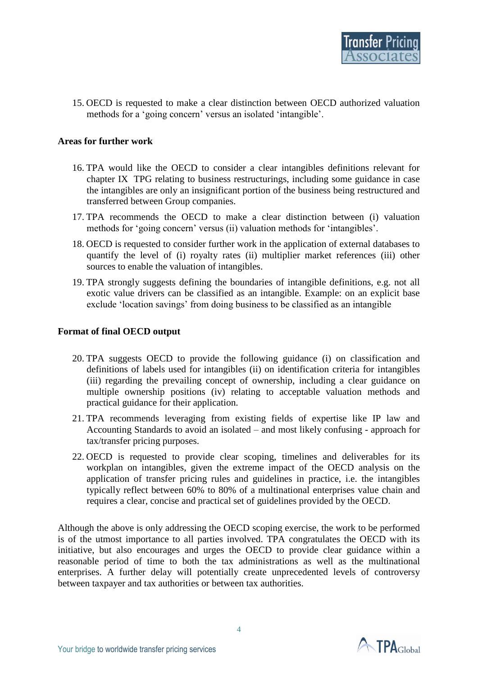15. OECD is requested to make a clear distinction between OECD authorized valuation methods for a 'going concern' versus an isolated 'intangible'.

## **Areas for further work**

- 16. TPA would like the OECD to consider a clear intangibles definitions relevant for chapter IX TPG relating to business restructurings, including some guidance in case the intangibles are only an insignificant portion of the business being restructured and transferred between Group companies.
- 17. TPA recommends the OECD to make a clear distinction between (i) valuation methods for 'going concern' versus (ii) valuation methods for 'intangibles'.
- 18. OECD is requested to consider further work in the application of external databases to quantify the level of (i) royalty rates (ii) multiplier market references (iii) other sources to enable the valuation of intangibles.
- 19. TPA strongly suggests defining the boundaries of intangible definitions, e.g. not all exotic value drivers can be classified as an intangible. Example: on an explicit base exclude 'location savings' from doing business to be classified as an intangible

#### **Format of final OECD output**

- 20. TPA suggests OECD to provide the following guidance (i) on classification and definitions of labels used for intangibles (ii) on identification criteria for intangibles (iii) regarding the prevailing concept of ownership, including a clear guidance on multiple ownership positions (iv) relating to acceptable valuation methods and practical guidance for their application.
- 21. TPA recommends leveraging from existing fields of expertise like IP law and Accounting Standards to avoid an isolated – and most likely confusing - approach for tax/transfer pricing purposes.
- 22. OECD is requested to provide clear scoping, timelines and deliverables for its workplan on intangibles, given the extreme impact of the OECD analysis on the application of transfer pricing rules and guidelines in practice, i.e. the intangibles typically reflect between 60% to 80% of a multinational enterprises value chain and requires a clear, concise and practical set of guidelines provided by the OECD.

Although the above is only addressing the OECD scoping exercise, the work to be performed is of the utmost importance to all parties involved. TPA congratulates the OECD with its initiative, but also encourages and urges the OECD to provide clear guidance within a reasonable period of time to both the tax administrations as well as the multinational enterprises. A further delay will potentially create unprecedented levels of controversy between taxpayer and tax authorities or between tax authorities.

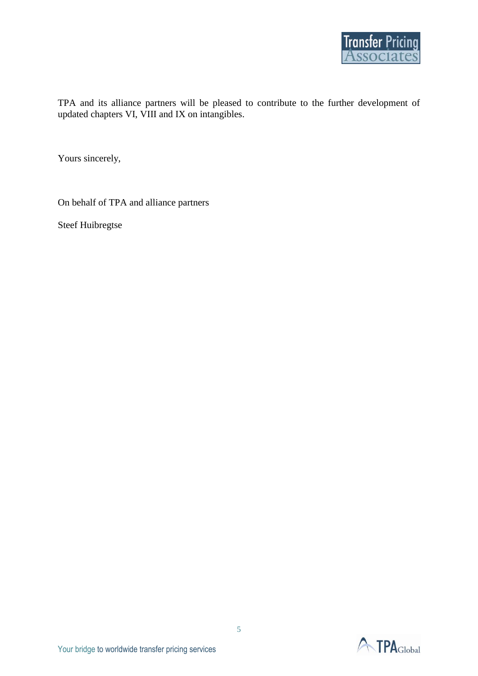

TPA and its alliance partners will be pleased to contribute to the further development of updated chapters VI, VIII and IX on intangibles.

Yours sincerely,

On behalf of TPA and alliance partners

Steef Huibregtse